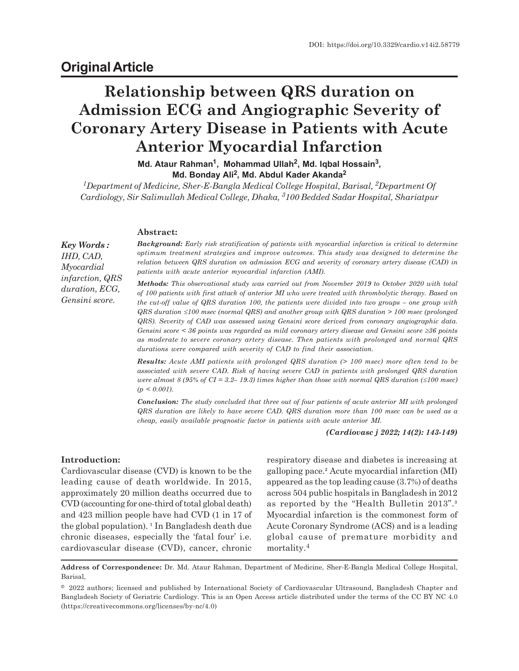# **Original Article**

# **Relationship between QRS duration on Admission ECG and Angiographic Severity of Coronary Artery Disease in Patients with Acute Anterior Myocardial Infarction**

**Md. Ataur Rahman<sup>1</sup> , Mohammad Ullah<sup>2</sup> , Md. Iqbal Hossain<sup>3</sup> , Md. Bonday Ali<sup>2</sup> , Md. Abdul Kader Akanda<sup>2</sup>**

*<sup>1</sup>Department of Medicine, Sher-E-Bangla Medical College Hospital, Barisal, 2Department Of Cardiology, Sir Salimullah Medical College, Dhaka, 3100 Bedded Sadar Hospital, Shariatpur*

#### **Abstract:**

*Key Words : IHD, CAD, Myocardial infarction, QRS duration, ECG, Gensini score.*

*Background: Early risk stratification of patients with myocardial infarction is critical to determine optimum treatment strategies and improve outcomes. This study was designed to determine the relation between QRS duration on admission ECG and severity of coronary artery disease (CAD) in patients with acute anterior myocardial infarction (AMI).*

*Methods: This observational study was carried out from November 2019 to October 2020 with total of 100 patients with first attack of anterior MI who were treated with thrombolytic therapy. Based on the cut-off value of QRS duration 100, the patients were divided into two groups – one group with QRS duration* £*100 msec (normal QRS) and another group with QRS duration > 100 msec (prolonged QRS). Severity of CAD was assessed using Gensini score derived from coronary angiographic data. Gensini score* < 36 points was regarded as mild coronary artery disease and Gensini score  $\geq$ 36 points *as moderate to severe coronary artery disease. Then patients with prolonged and normal QRS durations were compared with severity of CAD to find their association.*

*Results: Acute AMI patients with prolonged QRS duration (> 100 msec) more often tend to be associated with severe CAD. Risk of having severe CAD in patients with prolonged QRS duration were almost 8 (95% of CI = 3.2– 19.3) times higher than those with normal QRS duration (* $\leq$ *100 msec) (p < 0.001).*

*Conclusion: The study concluded that three out of four patients of acute anterior MI with prolonged QRS duration are likely to have severe CAD. QRS duration more than 100 msec can be used as a cheap, easily available prognostic factor in patients with acute anterior MI.*

*(Cardiovasc j 2022; 14(2): 143-149)*

## **Introduction:**

Cardiovascular disease (CVD) is known to be the leading cause of death worldwide. In 2015, approximately 20 million deaths occurred due to CVD (accounting for one-third of total global death) and 423 million people have had CVD (1 in 17 of the global population).  $\frac{1}{1}$  In Bangladesh death due chronic diseases, especially the 'fatal four' i.e. cardiovascular disease (CVD), cancer, chronic

respiratory disease and diabetes is increasing at galloping pace.² Acute myocardial infarction (MI) appeared as the top leading cause (3.7%) of deaths across 504 public hospitals in Bangladesh in 2012 as reported by the "Health Bulletin 2013".<sup>3</sup> Myocardial infarction is the commonest form of Acute Coronary Syndrome (ACS) and is a leading global cause of premature morbidity and mortality.<sup>4</sup>

**Address of Correspondence:** Dr. Md. Ataur Rahman, Department of Medicine, Sher-E-Bangla Medical College Hospital, Barisal,

<sup>© 2022</sup> authors; licensed and published by International Society of Cardiovascular Ultrasound, Bangladesh Chapter and Bangladesh Society of Geriatric Cardiology. This is an Open Access article distributed under the terms of the CC BY NC 4.0 (https://creativecommons.org/licenses/by-nc/4.0)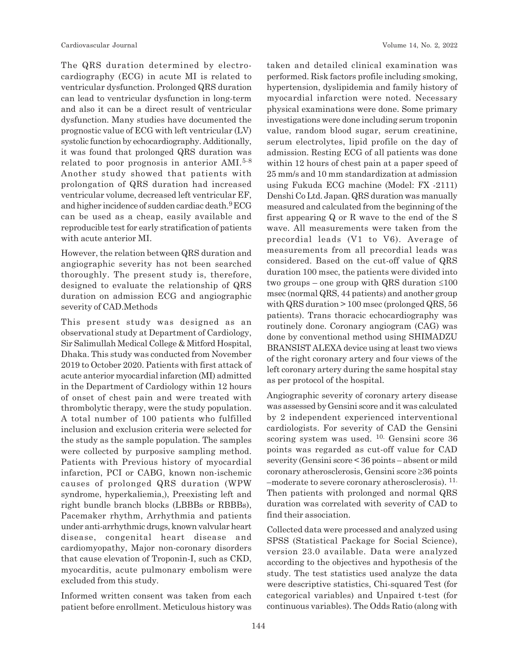The QRS duration determined by electrocardiography (ECG) in acute MI is related to ventricular dysfunction. Prolonged QRS duration can lead to ventricular dysfunction in long-term and also it can be a direct result of ventricular dysfunction. Many studies have documented the prognostic value of ECG with left ventricular (LV) systolic function by echocardiography. Additionally, it was found that prolonged QRS duration was related to poor prognosis in anterior AMI.5-8 Another study showed that patients with prolongation of QRS duration had increased ventricular volume, decreased left ventricular EF, and higher incidence of sudden cardiac death.<sup>9</sup> ECG can be used as a cheap, easily available and reproducible test for early stratification of patients with acute anterior MI.

However, the relation between QRS duration and angiographic severity has not been searched thoroughly. The present study is, therefore, designed to evaluate the relationship of QRS duration on admission ECG and angiographic severity of CAD.Methods

This present study was designed as an observational study at Department of Cardiology, Sir Salimullah Medical College & Mitford Hospital, Dhaka. This study was conducted from November 2019 to October 2020. Patients with first attack of acute anterior myocardial infarction (MI) admitted in the Department of Cardiology within 12 hours of onset of chest pain and were treated with thrombolytic therapy, were the study population. A total number of 100 patients who fulfilled inclusion and exclusion criteria were selected for the study as the sample population. The samples were collected by purposive sampling method. Patients with Previous history of myocardial infarction, PCI or CABG, known non-ischemic causes of prolonged QRS duration (WPW syndrome, hyperkaliemia,), Preexisting left and right bundle branch blocks (LBBBs or RBBBs), Pacemaker rhythm, Arrhythmia and patients under anti-arrhythmic drugs, known valvular heart disease, congenital heart disease and cardiomyopathy, Major non-coronary disorders that cause elevation of Troponin-I, such as CKD, myocarditis, acute pulmonary embolism were excluded from this study.

Informed written consent was taken from each patient before enrollment. Meticulous history was taken and detailed clinical examination was performed. Risk factors profile including smoking, hypertension, dyslipidemia and family history of myocardial infarction were noted. Necessary physical examinations were done. Some primary investigations were done including serum troponin value, random blood sugar, serum creatinine, serum electrolytes, lipid profile on the day of admission. Resting ECG of all patients was done within 12 hours of chest pain at a paper speed of 25 mm/s and 10 mm standardization at admission using Fukuda ECG machine (Model: FX -2111) Denshi Co Ltd. Japan. QRS duration was manually measured and calculated from the beginning of the first appearing Q or R wave to the end of the S wave. All measurements were taken from the precordial leads (V1 to V6). Average of measurements from all precordial leads was considered. Based on the cut-off value of QRS duration 100 msec, the patients were divided into two groups – one group with QRS duration  $\leq 100$ msec (normal QRS, 44 patients) and another group with QRS duration > 100 msec (prolonged QRS, 56 patients). Trans thoracic echocardiography was routinely done. Coronary angiogram (CAG) was done by conventional method using SHIMADZU BRANSIST ALEXA device using at least two views of the right coronary artery and four views of the left coronary artery during the same hospital stay as per protocol of the hospital.

Angiographic severity of coronary artery disease was assessed by Gensini score and it was calculated by 2 independent experienced interventional cardiologists. For severity of CAD the Gensini scoring system was used. 10. Gensini score 36 points was regarded as cut-off value for CAD severity (Gensini score < 36 points – absent or mild coronary atherosclerosis, Gensini score  $\geq 36$  points –moderate to severe coronary atherosclerosis). 11. Then patients with prolonged and normal QRS duration was correlated with severity of CAD to find their association.

Collected data were processed and analyzed using SPSS (Statistical Package for Social Science), version 23.0 available. Data were analyzed according to the objectives and hypothesis of the study. The test statistics used analyze the data were descriptive statistics, Chi-squared Test (for categorical variables) and Unpaired t-test (for continuous variables). The Odds Ratio (along with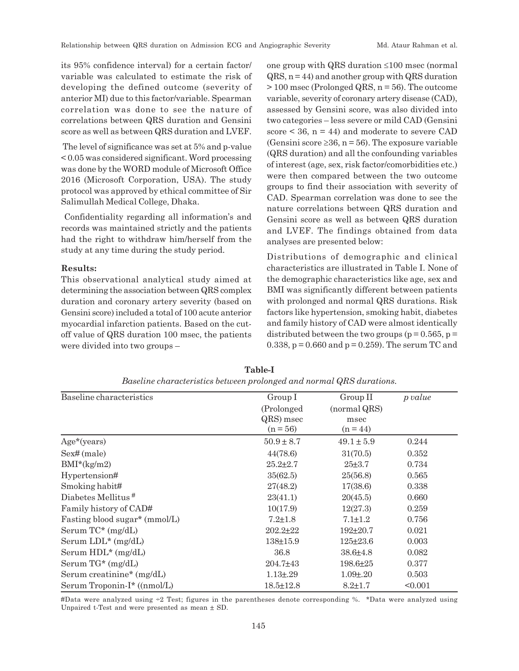its 95% confidence interval) for a certain factor/ variable was calculated to estimate the risk of developing the defined outcome (severity of anterior MI) due to this factor/variable. Spearman correlation was done to see the nature of correlations between QRS duration and Gensini score as well as between QRS duration and LVEF.

 The level of significance was set at 5% and p-value < 0.05 was considered significant. Word processing was done by the WORD module of Microsoft Office 2016 (Microsoft Corporation, USA). The study protocol was approved by ethical committee of Sir Salimullah Medical College, Dhaka.

 Confidentiality regarding all information's and records was maintained strictly and the patients had the right to withdraw him/herself from the study at any time during the study period.

#### **Results:**

This observational analytical study aimed at determining the association between QRS complex duration and coronary artery severity (based on Gensini score) included a total of 100 acute anterior myocardial infarction patients. Based on the cutoff value of QRS duration 100 msec, the patients were divided into two groups –

one group with QRS duration  $\leq 100$  msec (normal  $\alpha$ RS, n = 44) and another group with  $\alpha$ RS duration  $> 100$  msec (Prolonged QRS,  $n = 56$ ). The outcome variable, severity of coronary artery disease (CAD), assessed by Gensini score, was also divided into two categories – less severe or mild CAD (Gensini score  $\leq$  36, n = 44) and moderate to severe CAD (Gensini score  $\geq 36$ , n = 56). The exposure variable (QRS duration) and all the confounding variables of interest (age, sex, risk factor/comorbidities etc.) were then compared between the two outcome groups to find their association with severity of CAD. Spearman correlation was done to see the nature correlations between QRS duration and Gensini score as well as between QRS duration and LVEF. The findings obtained from data analyses are presented below:

Distributions of demographic and clinical characteristics are illustrated in Table I. None of the demographic characteristics like age, sex and BMI was significantly different between patients with prolonged and normal QRS durations. Risk factors like hypertension, smoking habit, diabetes and family history of CAD were almost identically distributed between the two groups ( $p = 0.565$ ,  $p =$ 0.338,  $p = 0.660$  and  $p = 0.259$ . The serum TC and

| Baseline characteristics      | Group I         | Group II        | p value |
|-------------------------------|-----------------|-----------------|---------|
|                               | (Prolonged)     | (normal QRS)    |         |
|                               | QRS) msec       | msec            |         |
|                               | $(n = 56)$      | $(n = 44)$      |         |
| $Age*(years)$                 | $50.9 \pm 8.7$  | $49.1 \pm 5.9$  | 0.244   |
| Sex# (male)                   | 44(78.6)        | 31(70.5)        | 0.352   |
| $BMI^*(kg/m2)$                | $25.2 \pm 2.7$  | $25 + 3.7$      | 0.734   |
| Hypertension#                 | 35(62.5)        | 25(56.8)        | 0.565   |
| Smoking habit#                | 27(48.2)        | 17(38.6)        | 0.338   |
| Diabetes Mellitus $#$         | 23(41.1)        | 20(45.5)        | 0.660   |
| Family history of CAD#        | 10(17.9)        | 12(27.3)        | 0.259   |
| Fasting blood sugar* (mmol/L) | $7.2 \pm 1.8$   | $7.1 \pm 1.2$   | 0.756   |
| Serum $TC^*(mg/dL)$           | $202.2 \pm 22$  | $192 + 20.7$    | 0.021   |
| Serum LDL* (mg/dL)            | $138 \pm 15.9$  | $125 \pm 23.6$  | 0.003   |
| Serum $HDL^*(mg/dL)$          | 36.8            | $38.6{\pm}4.8$  | 0.082   |
| Serum $TG^*$ (mg/dL)          | $204.7 \pm 43$  | $198.6{\pm}25$  | 0.377   |
| Serum creatinine* (mg/dL)     | $1.13{\pm}0.29$ | $1.09 \pm 0.20$ | 0.503   |
| Serum Troponin-I* ((nmol/L)   | $18.5 \pm 12.8$ | $8.2 \pm 1.7$   | < 0.001 |

**Table-I** *Baseline characteristics between prolonged and normal QRS durations.*

#Data were analyzed using  $\div 2$  Test; figures in the parentheses denote corresponding %. \*Data were analyzed using Unpaired t-Test and were presented as mean  $\pm$  SD.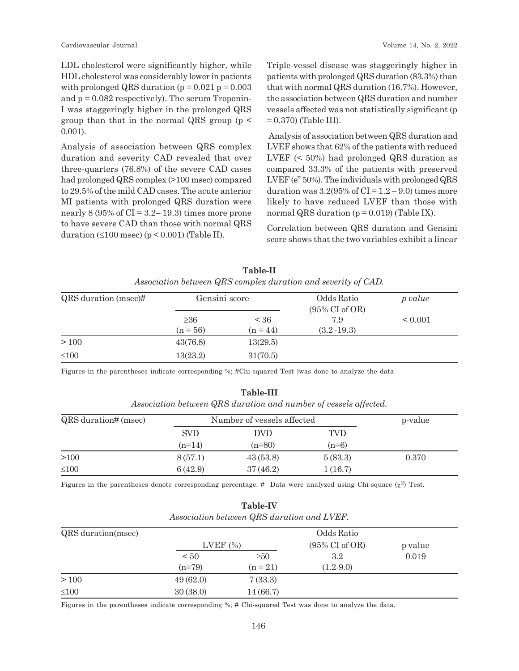LDL cholesterol were significantly higher, while HDL cholesterol was considerably lower in patients with prolonged QRS duration ( $p = 0.021$   $p = 0.003$ and  $p = 0.082$  respectively). The serum Troponin-I was staggeringly higher in the prolonged QRS group than that in the normal QRS group (p < 0.001).

Analysis of association between QRS complex duration and severity CAD revealed that over three-quarters (76.8%) of the severe CAD cases had prolonged QRS complex (>100 msec) compared to 29.5% of the mild CAD cases. The acute anterior MI patients with prolonged QRS duration were nearly  $8(95\% \text{ of } CI = 3.2-19.3)$  times more prone to have severe CAD than those with normal QRS duration  $(\leq 100$  msec) (p < 0.001) (Table II).

Triple-vessel disease was staggeringly higher in patients with prolonged QRS duration (83.3%) than that with normal QRS duration (16.7%). However, the association between QRS duration and number vessels affected was not statistically significant (p  $= 0.370$  (Table III).

Analysis of association between QRS duration and LVEF shows that 62% of the patients with reduced LVEF (< 50%) had prolonged QRS duration as compared 33.3% of the patients with preserved LVEF (e" 50%). The individuals with prolonged QRS duration was  $3.2(95\% \text{ of CI} = 1.2 - 9.0)$  times more likely to have reduced LVEF than those with normal QRS duration  $(p = 0.019)$  (Table IX).

Correlation between QRS duration and Gensini score shows that the two variables exhibit a linear

| QRS duration (msec)# | Gensini score           |                    | Odds Ratio<br>$(95\% \text{ CI of OR})$ | p value      |
|----------------------|-------------------------|--------------------|-----------------------------------------|--------------|
|                      | $\geq 36$<br>$(n = 56)$ | < 36<br>$(n = 44)$ | 7.9<br>$(3.2 - 19.3)$                   | ${}_{0.001}$ |
| >100                 | 43(76.8)                | 13(29.5)           |                                         |              |
| $\leq 100$           | 13(23.2)                | 31(70.5)           |                                         |              |

**Table-II** *Association between QRS complex duration and severity of CAD.*

Figures in the parentheses indicate corresponding %; #Chi-squared Test )was done to analyze the data

#### **Table-III**

*Association between QRS duration and number of vessels affected.*

| QRS duration# (msec) |            | Number of vessels affected |                       | p-value |
|----------------------|------------|----------------------------|-----------------------|---------|
|                      | <b>SVD</b> | DVD<br>$(n=80)$            | <b>TVD</b><br>$(n=6)$ |         |
|                      | $(n=14)$   |                            |                       |         |
| >100                 | 8(57.1)    | 43(53.8)                   | 5(83.3)               | 0.370   |
| $\leq 100$           | 6(42.9)    | 37(46.2)                   | 1(16.7)               |         |

Figures in the parentheses denote corresponding percentage. # Data were analyzed using Chi-square  $(\chi^2)$  Test.

| Association between QRS duration and LVEF. |             |            |                           |         |  |
|--------------------------------------------|-------------|------------|---------------------------|---------|--|
| QRS duration (msec)                        | Odds Ratio  |            |                           |         |  |
|                                            | LVEF $(\%)$ |            | $(95\% \text{ CI of OR})$ | p value |  |
|                                            | $\leq 50$   | $\geq 50$  | 3.2                       | 0.019   |  |
|                                            | $(n=79)$    | $(n = 21)$ | $(1.2-9.0)$               |         |  |
| >100                                       | 49(62.0)    | 7(33.3)    |                           |         |  |
| $\leq 100$                                 | 30(38.0)    | 14(66.7)   |                           |         |  |

**Table-IV**

Figures in the parentheses indicate corresponding %; # Chi-squared Test was done to analyze the data.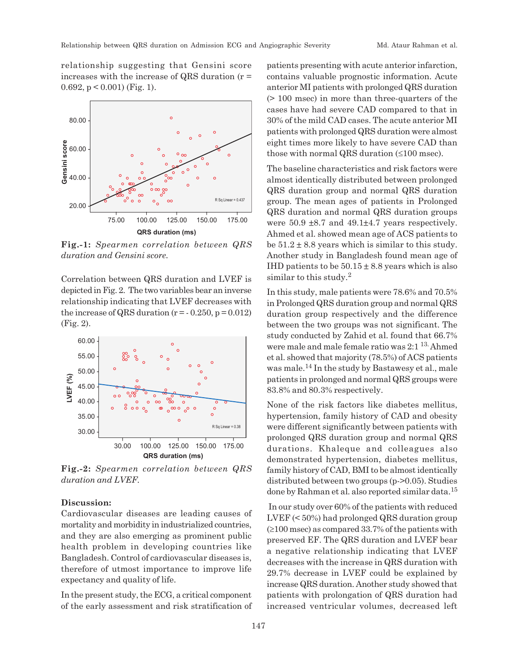relationship suggesting that Gensini score increases with the increase of QRS duration  $(r =$ 0.692,  $p < 0.001$ ) (Fig. 1).



**Fig.-1:** *Spearmen correlation between QRS duration and Gensini score.*

Correlation between QRS duration and LVEF is depicted in Fig. 2. The two variables bear an inverse relationship indicating that LVEF decreases with the increase of QRS duration  $(r = -0.250, p = 0.012)$ (Fig. 2).



**Fig.-2:** *Spearmen correlation between QRS*

## **Discussion:**

Cardiovascular diseases are leading causes of mortality and morbidity in industrialized countries, and they are also emerging as prominent public health problem in developing countries like Bangladesh. Control of cardiovascular diseases is, therefore of utmost importance to improve life expectancy and quality of life.

In the present study, the ECG, a critical component of the early assessment and risk stratification of patients presenting with acute anterior infarction, contains valuable prognostic information. Acute anterior MI patients with prolonged QRS duration (> 100 msec) in more than three-quarters of the cases have had severe CAD compared to that in 30% of the mild CAD cases. The acute anterior MI patients with prolonged QRS duration were almost eight times more likely to have severe CAD than those with normal QRS duration  $(\leq 100$  msec).

The baseline characteristics and risk factors were almost identically distributed between prolonged QRS duration group and normal QRS duration group. The mean ages of patients in Prolonged QRS duration and normal QRS duration groups were  $50.9 \pm 8.7$  and  $49.1 \pm 4.7$  years respectively. Ahmed et al. showed mean age of ACS patients to be  $51.2 \pm 8.8$  years which is similar to this study. Another study in Bangladesh found mean age of IHD patients to be  $50.15 \pm 8.8$  years which is also similar to this study.<sup>2</sup>

In this study, male patients were 78.6% and 70.5% in Prolonged QRS duration group and normal QRS duration group respectively and the difference between the two groups was not significant. The study conducted by Zahid et al. found that 66.7% were male and male female ratio was 2:1 13. Ahmed et al. showed that majority (78.5%) of ACS patients was male.14 In the study by Bastawesy et al., male patients in prolonged and normal QRS groups were 83.8% and 80.3% respectively.

None of the risk factors like diabetes mellitus, hypertension, family history of CAD and obesity were different significantly between patients with prolonged QRS duration group and normal QRS durations. Khaleque and colleagues also demonstrated hypertension, diabetes mellitus, family history of CAD, BMI to be almost identically distributed between two groups (p->0.05). Studies done by Rahman et al. also reported similar data.<sup>15</sup>

 In our study over 60% of the patients with reduced LVEF (< 50%) had prolonged QRS duration group  $(≥100$  msec) as compared 33.7% of the patients with preserved EF. The QRS duration and LVEF bear a negative relationship indicating that LVEF decreases with the increase in QRS duration with 29.7% decrease in LVEF could be explained by increase QRS duration. Another study showed that patients with prolongation of QRS duration had increased ventricular volumes, decreased left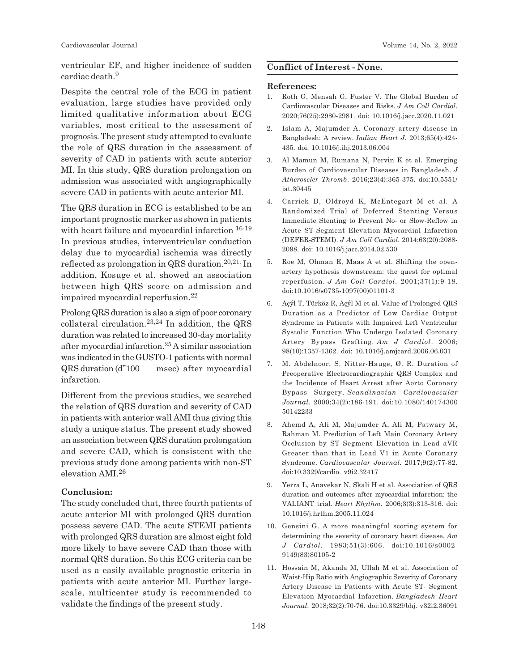Cardiovascular Journal Volume 14, No. 2, 2022

ventricular EF, and higher incidence of sudden cardiac death.<sup>9</sup>

Despite the central role of the ECG in patient evaluation, large studies have provided only limited qualitative information about ECG variables, most critical to the assessment of prognosis. The present study attempted to evaluate the role of QRS duration in the assessment of severity of CAD in patients with acute anterior MI. In this study, QRS duration prolongation on admission was associated with angiographically severe CAD in patients with acute anterior MI.

The QRS duration in ECG is established to be an important prognostic marker as shown in patients with heart failure and myocardial infarction  $16-19$ In previous studies, interventricular conduction delay due to myocardial ischemia was directly reflected as prolongation in QRS duration.20,21. In addition, Kosuge et al. showed an association between high QRS score on admission and impaired myocardial reperfusion.<sup>22</sup>

Prolong QRS duration is also a sign of poor coronary collateral circulation.<sup>23,24</sup> In addition, the QRS duration was related to increased 30-day mortality after myocardial infarction.<sup>25</sup> A similar association was indicated in the GUSTO-1 patients with normal QRS duration (d"100 msec) after myocardial infarction.

Different from the previous studies, we searched the relation of QRS duration and severity of CAD in patients with anterior wall AMI thus giving this study a unique status. The present study showed an association between QRS duration prolongation and severe CAD, which is consistent with the previous study done among patients with non-ST elevation AMI.<sup>26</sup>

# **Conclusion:**

The study concluded that, three fourth patients of acute anterior MI with prolonged QRS duration possess severe CAD. The acute STEMI patients with prolonged QRS duration are almost eight fold more likely to have severe CAD than those with normal QRS duration. So this ECG criteria can be used as a easily available prognostic criteria in patients with acute anterior MI. Further largescale, multicenter study is recommended to validate the findings of the present study.

# **Conflict of Interest - None.**

#### **References:**

- 1. Roth G, Mensah G, Fuster V. The Global Burden of Cardiovascular Diseases and Risks. *J Am Coll Cardiol*. 2020;76(25):2980-2981. doi: 10.1016/j.jacc.2020.11.021
- 2. Islam A, Majumder A. Coronary artery disease in Bangladesh: A review. *Indian Heart J*. 2013;65(4):424- 435. doi: 10.1016/j.ihj.2013.06.004
- 3. Al Mamun M, Rumana N, Pervin K et al. Emerging Burden of Cardiovascular Diseases in Bangladesh. *J Atheroscler Thromb*. 2016;23(4):365-375. doi:10.5551/ jat.30445
- 4. Carrick D, Oldroyd K, McEntegart M et al. A Randomized Trial of Deferred Stenting Versus Immediate Stenting to Prevent No- or Slow-Reflow in Acute ST-Segment Elevation Myocardial Infarction (DEFER-STEMI). *J Am Coll Cardiol*. 2014;63(20):2088- 2098. doi: 10.1016/j.jacc.2014.02.530
- 5. Roe M, Ohman E, Maas A et al. Shifting the openartery hypothesis downstream: the quest for optimal reperfusion. *J Am Coll Cardiol*. 2001;37(1):9-18. doi:10.1016/s0735-1097(00)01101-3
- 6. Açýl T, Türköz R, Açýl M et al. Value of Prolonged QRS Duration as a Predictor of Low Cardiac Output Syndrome in Patients with Impaired Left Ventricular Systolic Function Who Undergo Isolated Coronary Artery Bypass Grafting. *Am J Cardiol*. 2006; 98(10):1357-1362. doi: 10.1016/j.amjcard.2006.06.031
- 7. M. Abdelnoor, S. Nitter-Hauge, Ø. R. Duration of Preoperative Electrocardiographic QRS Complex and the Incidence of Heart Arrest after Aorto Coronary Bypass Surgery. *Scandinavian Cardiovascular Journal*. 2000;34(2):186-191. doi:10.1080/140174300 50142233
- 8. Ahemd A, Ali M, Majumder A, Ali M, Patwary M, Rahman M. Prediction of Left Main Coronary Artery Occlusion by ST Segment Elevation in Lead aVR Greater than that in Lead V1 in Acute Coronary Syndrome. *Cardiovascular Journal*. 2017;9(2):77-82. doi:10.3329/cardio. v9i2.32417
- 9. Yerra L, Anavekar N, Skali H et al. Association of QRS duration and outcomes after myocardial infarction: the VALIANT trial. *Heart Rhythm*. 2006;3(3):313-316. doi: 10.1016/j.hrthm.2005.11.024
- 10. Gensini G. A more meaningful scoring system for determining the severity of coronary heart disease. *Am J Cardiol*. 1983;51(3):606. doi:10.1016/s0002- 9149(83)80105-2
- 11. Hossain M, Akanda M, Ullah M et al. Association of Waist-Hip Ratio with Angiographic Severity of Coronary Artery Disease in Patients with Acute ST- Segment Elevation Myocardial Infarction. *Bangladesh Heart Journal*. 2018;32(2):70-76. doi:10.3329/bhj. v32i2.36091